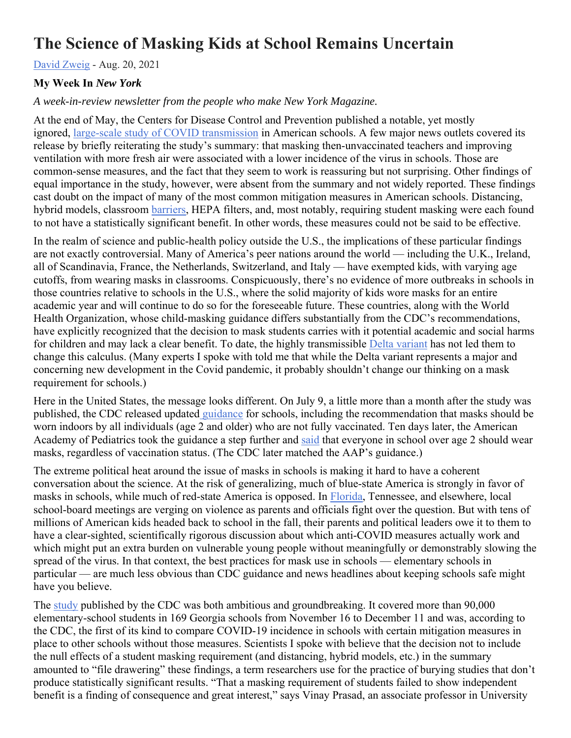## **The Science of Masking Kids at School Remains Uncertain**

David Zweig - Aug. 20, 2021

## **My Week In** *New York*

## *A week-in-review newsletter from the people who make New York Magazine.*

At the end of May, the Centers for Disease Control and Prevention published a notable, yet mostly ignored, large-scale study of COVID transmission in American schools. A few major news outlets covered its release by briefly reiterating the study's summary: that masking then-unvaccinated teachers and improving ventilation with more fresh air were associated with a lower incidence of the virus in schools. Those are common-sense measures, and the fact that they seem to work is reassuring but not surprising. Other findings of equal importance in the study, however, were absent from the summary and not widely reported. These findings cast doubt on the impact of many of the most common mitigation measures in American schools. Distancing, hybrid models, classroom barriers, HEPA filters, and, most notably, requiring student masking were each found to not have a statistically significant benefit. In other words, these measures could not be said to be effective.

In the realm of science and public-health policy outside the U.S., the implications of these particular findings are not exactly controversial. Many of America's peer nations around the world — including the U.K., Ireland, all of Scandinavia, France, the Netherlands, Switzerland, and Italy — have exempted kids, with varying age cutoffs, from wearing masks in classrooms. Conspicuously, there's no evidence of more outbreaks in schools in those countries relative to schools in the U.S., where the solid majority of kids wore masks for an entire academic year and will continue to do so for the foreseeable future. These countries, along with the World Health Organization, whose child-masking guidance differs substantially from the CDC's recommendations, have explicitly recognized that the decision to mask students carries with it potential academic and social harms for children and may lack a clear benefit. To date, the highly transmissible Delta variant has not led them to change this calculus. (Many experts I spoke with told me that while the Delta variant represents a major and concerning new development in the Covid pandemic, it probably shouldn't change our thinking on a mask requirement for schools.)

Here in the United States, the message looks different. On July 9, a little more than a month after the study was published, the CDC released updated guidance for schools, including the recommendation that masks should be worn indoors by all individuals (age 2 and older) who are not fully vaccinated. Ten days later, the American Academy of Pediatrics took the guidance a step further and said that everyone in school over age 2 should wear masks, regardless of vaccination status. (The CDC later matched the AAP's guidance.)

The extreme political heat around the issue of masks in schools is making it hard to have a coherent conversation about the science. At the risk of generalizing, much of blue-state America is strongly in favor of masks in schools, while much of red-state America is opposed. In Florida, Tennessee, and elsewhere, local school-board meetings are verging on violence as parents and officials fight over the question. But with tens of millions of American kids headed back to school in the fall, their parents and political leaders owe it to them to have a clear-sighted, scientifically rigorous discussion about which anti-COVID measures actually work and which might put an extra burden on vulnerable young people without meaningfully or demonstrably slowing the spread of the virus. In that context, the best practices for mask use in schools — elementary schools in particular — are much less obvious than CDC guidance and news headlines about keeping schools safe might have you believe.

The study published by the CDC was both ambitious and groundbreaking. It covered more than 90,000 elementary-school students in 169 Georgia schools from November 16 to December 11 and was, according to the CDC, the first of its kind to compare COVID-19 incidence in schools with certain mitigation measures in place to other schools without those measures. Scientists I spoke with believe that the decision not to include the null effects of a student masking requirement (and distancing, hybrid models, etc.) in the summary amounted to "file drawering" these findings, a term researchers use for the practice of burying studies that don't produce statistically significant results. "That a masking requirement of students failed to show independent benefit is a finding of consequence and great interest," says Vinay Prasad, an associate professor in University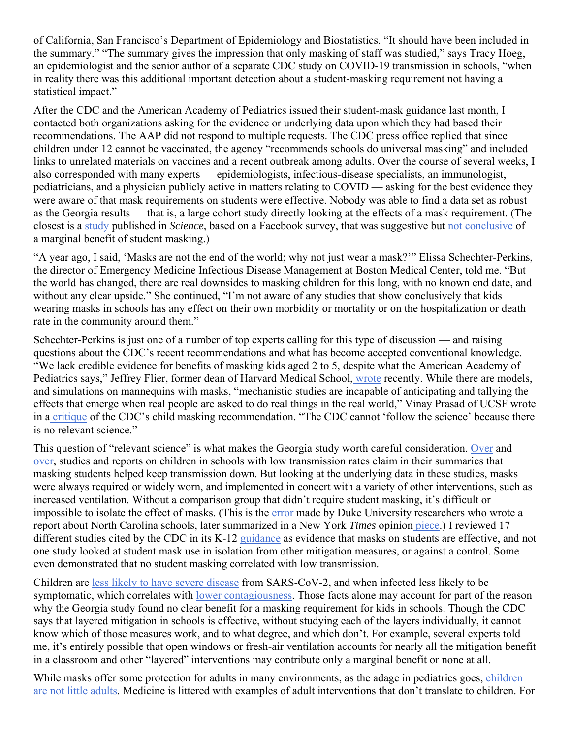of California, San Francisco's Department of Epidemiology and Biostatistics. "It should have been included in the summary." "The summary gives the impression that only masking of staff was studied," says Tracy Hoeg, an epidemiologist and the senior author of a separate CDC study on COVID-19 transmission in schools, "when in reality there was this additional important detection about a student-masking requirement not having a statistical impact."

After the CDC and the American Academy of Pediatrics issued their student-mask guidance last month, I contacted both organizations asking for the evidence or underlying data upon which they had based their recommendations. The AAP did not respond to multiple requests. The CDC press office replied that since children under 12 cannot be vaccinated, the agency "recommends schools do universal masking" and included links to unrelated materials on vaccines and a recent outbreak among adults. Over the course of several weeks, I also corresponded with many experts — epidemiologists, infectious-disease specialists, an immunologist, pediatricians, and a physician publicly active in matters relating to COVID — asking for the best evidence they were aware of that mask requirements on students were effective. Nobody was able to find a data set as robust as the Georgia results — that is, a large cohort study directly looking at the effects of a mask requirement. (The closest is a study published in *Science*, based on a Facebook survey, that was suggestive but not conclusive of a marginal benefit of student masking.)

"A year ago, I said, 'Masks are not the end of the world; why not just wear a mask?'" Elissa Schechter-Perkins, the director of Emergency Medicine Infectious Disease Management at Boston Medical Center, told me. "But the world has changed, there are real downsides to masking children for this long, with no known end date, and without any clear upside." She continued, "I'm not aware of any studies that show conclusively that kids wearing masks in schools has any effect on their own morbidity or mortality or on the hospitalization or death rate in the community around them."

Schechter-Perkins is just one of a number of top experts calling for this type of discussion — and raising questions about the CDC's recent recommendations and what has become accepted conventional knowledge. "We lack credible evidence for benefits of masking kids aged 2 to 5, despite what the American Academy of Pediatrics says," Jeffrey Flier, former dean of Harvard Medical School, wrote recently. While there are models, and simulations on mannequins with masks, "mechanistic studies are incapable of anticipating and tallying the effects that emerge when real people are asked to do real things in the real world," Vinay Prasad of UCSF wrote in a critique of the CDC's child masking recommendation. "The CDC cannot 'follow the science' because there is no relevant science."

This question of "relevant science" is what makes the Georgia study worth careful consideration. Over and over, studies and reports on children in schools with low transmission rates claim in their summaries that masking students helped keep transmission down. But looking at the underlying data in these studies, masks were always required or widely worn, and implemented in concert with a variety of other interventions, such as increased ventilation. Without a comparison group that didn't require student masking, it's difficult or impossible to isolate the effect of masks. (This is the error made by Duke University researchers who wrote a report about North Carolina schools, later summarized in a New York *Times* opinion piece.) I reviewed 17 different studies cited by the CDC in its K-12 guidance as evidence that masks on students are effective, and not one study looked at student mask use in isolation from other mitigation measures, or against a control. Some even demonstrated that no student masking correlated with low transmission.

Children are less likely to have severe disease from SARS-CoV-2, and when infected less likely to be symptomatic, which correlates with lower contagiousness. Those facts alone may account for part of the reason why the Georgia study found no clear benefit for a masking requirement for kids in schools. Though the CDC says that layered mitigation in schools is effective, without studying each of the layers individually, it cannot know which of those measures work, and to what degree, and which don't. For example, several experts told me, it's entirely possible that open windows or fresh-air ventilation accounts for nearly all the mitigation benefit in a classroom and other "layered" interventions may contribute only a marginal benefit or none at all.

While masks offer some protection for adults in many environments, as the adage in pediatrics goes, children are not little adults. Medicine is littered with examples of adult interventions that don't translate to children. For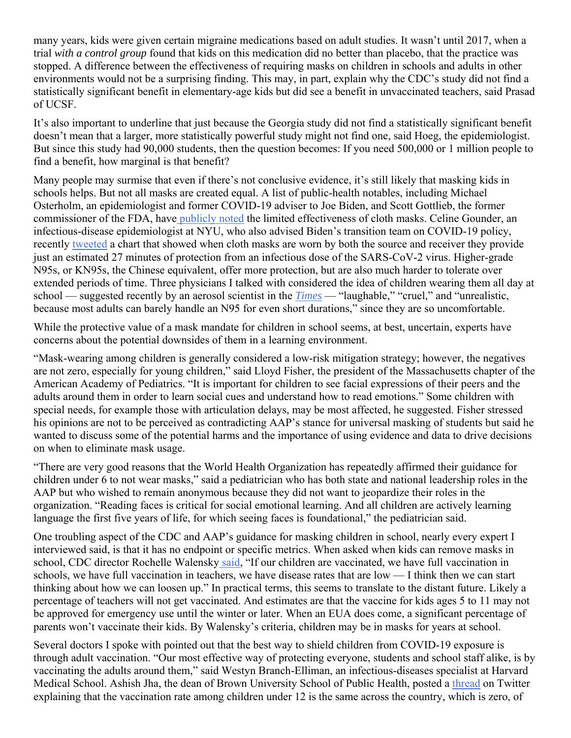many years, kids were given certain migraine medications based on adult studies. It wasn't until 2017, when a trial *with a control group* found that kids on this medication did no better than placebo, that the practice was stopped. A difference between the effectiveness of requiring masks on children in schools and adults in other environments would not be a surprising finding. This may, in part, explain why the CDC's study did not find a statistically significant benefit in elementary-age kids but did see a benefit in unvaccinated teachers, said Prasad of UCSF.

It's also important to underline that just because the Georgia study did not find a statistically significant benefit doesn't mean that a larger, more statistically powerful study might not find one, said Hoeg, the epidemiologist. But since this study had 90,000 students, then the question becomes: If you need 500,000 or 1 million people to find a benefit, how marginal is that benefit?

Many people may surmise that even if there's not conclusive evidence, it's still likely that masking kids in schools helps. But not all masks are created equal. A list of public-health notables, including Michael Osterholm, an epidemiologist and former COVID-19 adviser to Joe Biden, and Scott Gottlieb, the former commissioner of the FDA, have publicly noted the limited effectiveness of cloth masks. Celine Gounder, an infectious-disease epidemiologist at NYU, who also advised Biden's transition team on COVID-19 policy, recently tweeted a chart that showed when cloth masks are worn by both the source and receiver they provide just an estimated 27 minutes of protection from an infectious dose of the SARS-CoV-2 virus. Higher-grade N95s, or KN95s, the Chinese equivalent, offer more protection, but are also much harder to tolerate over extended periods of time. Three physicians I talked with considered the idea of children wearing them all day at school — suggested recently by an aerosol scientist in the *Times* — "laughable," "cruel," and "unrealistic, because most adults can barely handle an N95 for even short durations," since they are so uncomfortable.

While the protective value of a mask mandate for children in school seems, at best, uncertain, experts have concerns about the potential downsides of them in a learning environment.

"Mask-wearing among children is generally considered a low-risk mitigation strategy; however, the negatives are not zero, especially for young children," said Lloyd Fisher, the president of the Massachusetts chapter of the American Academy of Pediatrics. "It is important for children to see facial expressions of their peers and the adults around them in order to learn social cues and understand how to read emotions." Some children with special needs, for example those with articulation delays, may be most affected, he suggested. Fisher stressed his opinions are not to be perceived as contradicting AAP's stance for universal masking of students but said he wanted to discuss some of the potential harms and the importance of using evidence and data to drive decisions on when to eliminate mask usage.

"There are very good reasons that the World Health Organization has repeatedly affirmed their guidance for children under 6 to not wear masks," said a pediatrician who has both state and national leadership roles in the AAP but who wished to remain anonymous because they did not want to jeopardize their roles in the organization. "Reading faces is critical for social emotional learning. And all children are actively learning language the first five years of life, for which seeing faces is foundational," the pediatrician said.

One troubling aspect of the CDC and AAP's guidance for masking children in school, nearly every expert I interviewed said, is that it has no endpoint or specific metrics. When asked when kids can remove masks in school, CDC director Rochelle Walensky said, "If our children are vaccinated, we have full vaccination in schools, we have full vaccination in teachers, we have disease rates that are low — I think then we can start thinking about how we can loosen up." In practical terms, this seems to translate to the distant future. Likely a percentage of teachers will not get vaccinated. And estimates are that the vaccine for kids ages 5 to 11 may not be approved for emergency use until the winter or later. When an EUA does come, a significant percentage of parents won't vaccinate their kids. By Walensky's criteria, children may be in masks for years at school.

Several doctors I spoke with pointed out that the best way to shield children from COVID-19 exposure is through adult vaccination. "Our most effective way of protecting everyone, students and school staff alike, is by vaccinating the adults around them," said Westyn Branch-Elliman, an infectious-diseases specialist at Harvard Medical School. Ashish Jha, the dean of Brown University School of Public Health, posted a thread on Twitter explaining that the vaccination rate among children under 12 is the same across the country, which is zero, of